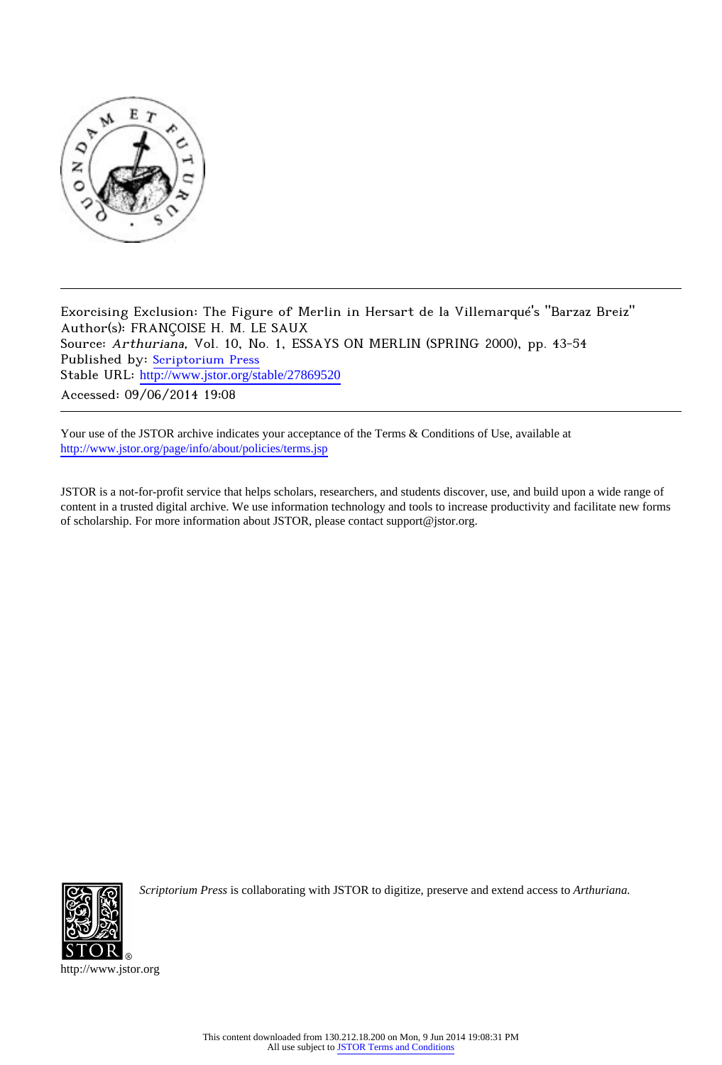

Exorcising Exclusion: The Figure of Merlin in Hersart de la Villemarqué's "Barzaz Breiz" Author(s): FRANÇOISE H. M. LE SAUX Source: Arthuriana, Vol. 10, No. 1, ESSAYS ON MERLIN (SPRING 2000), pp. 43-54 Published by: [Scriptorium Press](http://www.jstor.org/action/showPublisher?publisherCode=scriptorium) Stable URL: http://www.jstor.org/stable/27869520 Accessed: 09/06/2014 19:08

Your use of the JSTOR archive indicates your acceptance of the Terms & Conditions of Use, available at <http://www.jstor.org/page/info/about/policies/terms.jsp>

JSTOR is a not-for-profit service that helps scholars, researchers, and students discover, use, and build upon a wide range of content in a trusted digital archive. We use information technology and tools to increase productivity and facilitate new forms of scholarship. For more information about JSTOR, please contact support@jstor.org.



*Scriptorium Press* is collaborating with JSTOR to digitize, preserve and extend access to *Arthuriana.*

http://www.jstor.org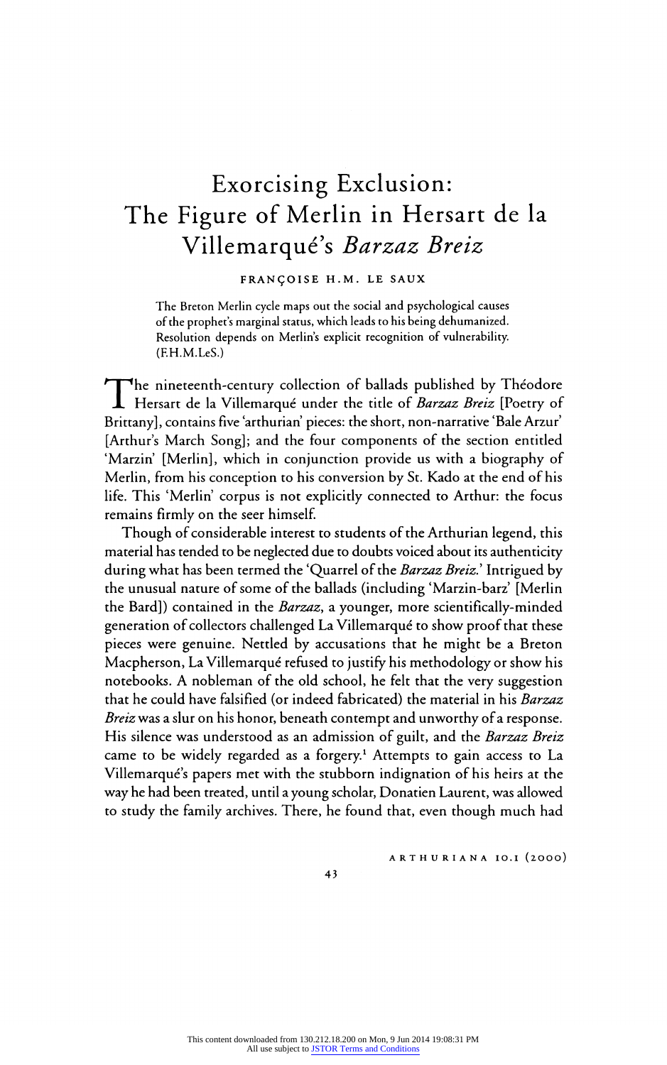# Exorcising Exclusion: The Figure of Merlin in Hersart de la Villemarqué's Barzaz Breiz

## FRAN?OISE H.M. LE SAUX

I he breton Merlin cycle maps out the social and psychological cause of the prophet's marginal status, which leads to his being dehumanized. Resolution depends on Merlin's explicit recognition of vulnerability. (F.H.M.LeS.)

The nineteenth-century collection of ballads published by Theodore Hersart de la Villemarque under the title of *Darzaz Dreiz* [Poetry of Brittany], contains five 'arthurian' pieces: the short, non-narrative 'Bale Arzur' [Arthur's March Song]; and the four components of the section entitled 'Marzin' [Merlin], which in conjunction provide us with a biography of Merlin, from his conception to his conversion by St. Kado at the end of his life. This 'Merlin' corpus is not explicitly connected to Arthur: the focus remains firmly on the seer himself.

Though of considerable interest to students of the Arthurian legend, this material has tended to be neglected due to doubts voiced about its authenticity during what has been termed the 'Quarrel of the *Barzaz Breiz*.' Intrigued by the unusual nature of some of the ballads (including 'Marzin-barz' [Merlin the Bard]) contained in the Barzaz, a younger, more scientifically-minded generation of collectors challenged La Villemarqué to show proof that these pieces were genuine. Nettled by accusations that he might be a Breton Macpherson, La Villemarqué refused to justify his methodology or show his notebooks. A nobleman of the old school, he felt that the very suggestion that he could have falsified (or indeed fabricated) the material in his Barzaz Breiz was a slur on his honor, beneath contempt and unworthy of a response. His silence was understood as an admission of guilt, and the Barzaz Breiz came to be widely regarded as a forgery.<sup>1</sup> Attempts to gain access to La Villemarqué's papers met with the stubborn indignation of his heirs at the way he had been treated, until a young scholar, Donatien Laurent, was allowed to study the family archives. There, he found that, even though much had

ARTHURIANA IO.I (2000)

43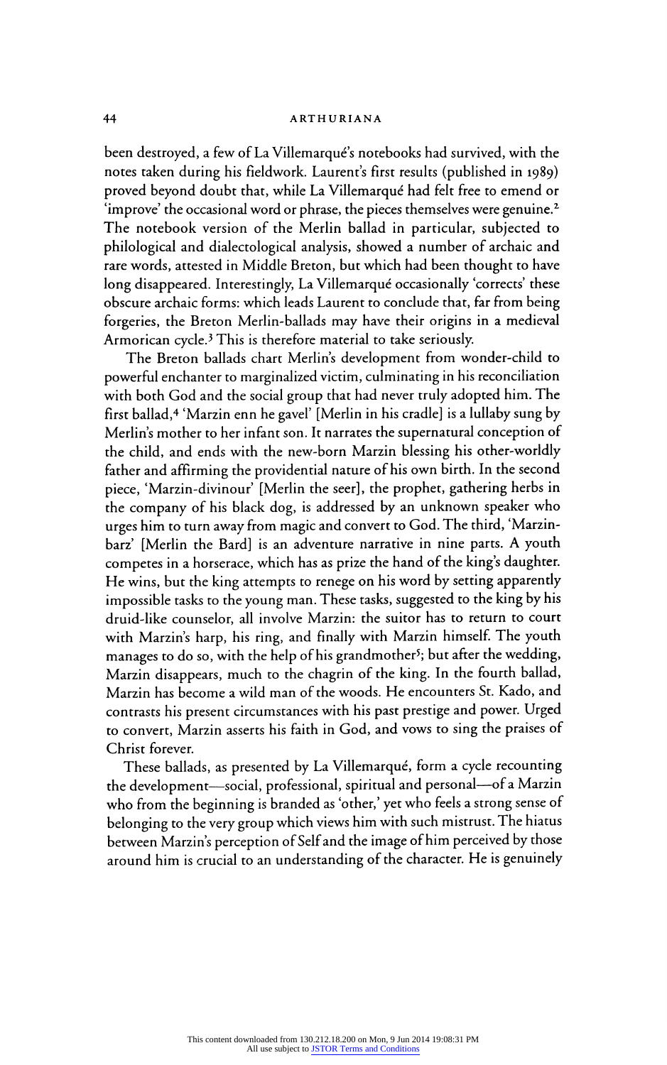## 44 ARTHUR

been destroyed, a few of La Villemarqué's notebooks had survived, with the notes taken during his fieldwork. Laurent's first results (published in 1989) proved beyond doubt that, while La Villemarqué had felt free to emend or 'improve' the occasional word or phrase, the pieces themselves were genuine.2 The notebook version of the Merlin ballad in particular, subjected to philological and dialectological analysis, showed a number of archaic and rare words, attested in Middle Breton, but which had been thought to have long disappeared. Interestingly, La Villemarqué occasionally 'corrects' these obscure archaic forms: which leads Laurent to conclude that, far from being forgeries, the Breton Merlin-ballads may have their origins in a medieval Armorican cycle.3 This is therefore material to take seriously.

The Breton ballads chart Merlin's development from wonder-child to powerful enchanter to marginalized victim, culminating in his reconciliation with both God and the social group that had never truly adopted him. The first ballad,4 'Marzin enn he gavel' [Merlin in his cradle] is a lullaby sung by Merlin's mother to her infant son. It narrates the supernatural conception of the child, and ends with the new-born Marzin blessing his other-worldly father and affirming the providential nature of his own birth. In the second piece, 'Marzin-divinour' [Merlin the seer], the prophet, gathering herbs in the company of his black dog, is addressed by an unknown speaker who urges him to turn away from magic and convert to God. The third, 'Marzin barz' [Merlin the Bard] is an adventure narrative in nine parts. A youth competes in a horserace, which has as prize the hand of the king's daughter. He wins, but the king attempts to renege on his word by setting apparently impossible tasks to the young man. These tasks, suggested to the king by his druid-like counselor, all involve Marzin: the suitor has to return to court with Marzin's harp, his ring, and finally with Marzin himself. The youth manage manages to do so, with the help of his grandmother<sup>5</sup>; but after the wedding, Marzin disappears, much to the chagrin of the king. In the fourth ballad, Marzin has become a wild man of the woods. He encounters St. Kado, and contrasts his present circumstances with his past prestige and power. Urged to convert, Marzin asserts his faith in God, and vows to sing the praises of Christ forever.

These ballads, as presented by La Villemarqué, form a cycle recounting the development-social, professional, spiritual and personal-of a Marzin who from the beginning is branded as 'other,' yet who feels a strong sense of belonging to the very group which views him with such mistrust. The hiatus between Marzin's perception of Self and the image of him perceived by those around him is crucial to an understanding of the character. He is genuinely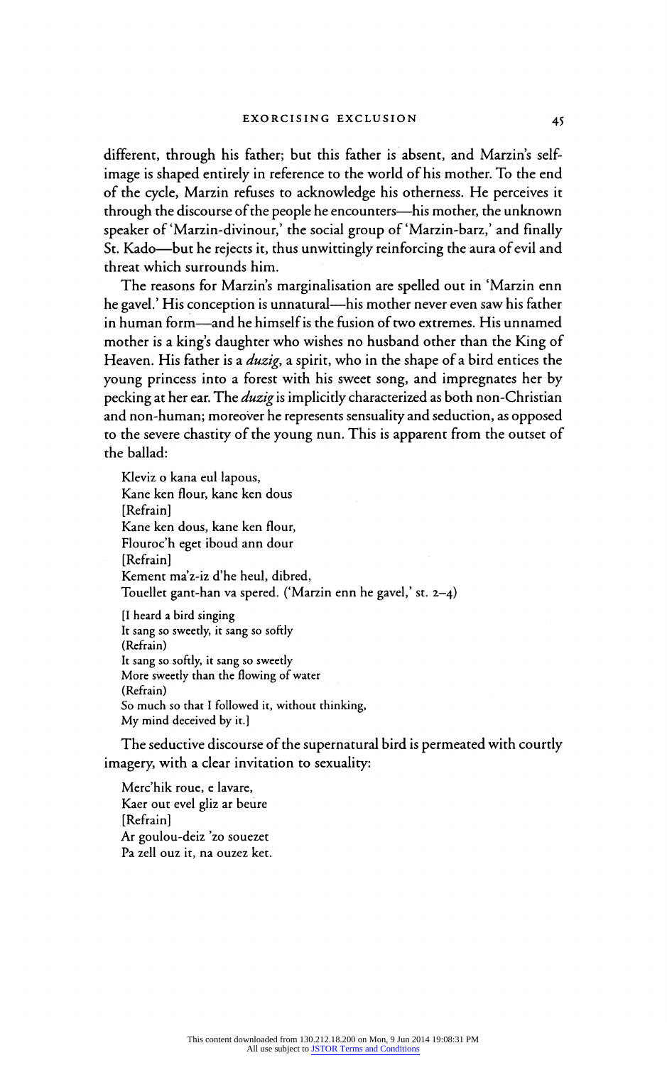different, through his father; but this father is absent, and Marzin's selfimage is shaped entirely in reference to the world of his mother. To the end of the cycle, Marzin refuses to acknowledge his otherness. He perceives it through the discourse of the people he encounters—his mother, the unknown speaker of'Marzin-divinour,' the social group of 'Marzin-barz,' and finally St. Kado—but he rejects it, thus unwittingly reinforcing the aura of evil and threat which surrounds him.

The reasons for Marzin's marginalisation are spelled out in 'Marzin enn he gavel.' His conception is unnatural—his mother never even saw his father in human form—and he himself is the fusion of two extremes. His unnamed mother is a king's daughter who wishes no husband other than the King of Heaven. His father is a *duzig*, a spirit, who in the shape of a bird entices the young princess into a forest with his sweet song, and impregnates her by pecking at her ear. The *duzig* is implicitly characterized as both non-Christian and non-human; moreover he represents sensuality and seduction, as opposed to the severe chastity of the young nun. This is apparent from the outset of the ballad:

Kleviz o kana eul lapous, Kane ken flour, kane ken dous [Refrain] Kane ken dous, kane ken flour, Flouroc'h eget iboud ann dour [Refrain] Kement ma'z-iz d'he heul, dibre Touellet gant-han va spered. ('Marzin enn he gavel,' st. 2-4) [I heard a bird singing It sang so sweetly, it sang so softly (Refrain) It sang so softly, it sang so sweetly More sweetly than the flowing of water (Refrain) So much so that I followed it, without thinking,

My mind deceived by it.]

The seductive discourse of the supernatural bird is permeated with courtly imagery, with a clear invitation to sexuality:

Merc'hik roue, e lavare, Kaer out evel gliz ar beure [Refrain] Ar goulou-deiz 'zo souezet Pa zell ouz it, na ouzez ket.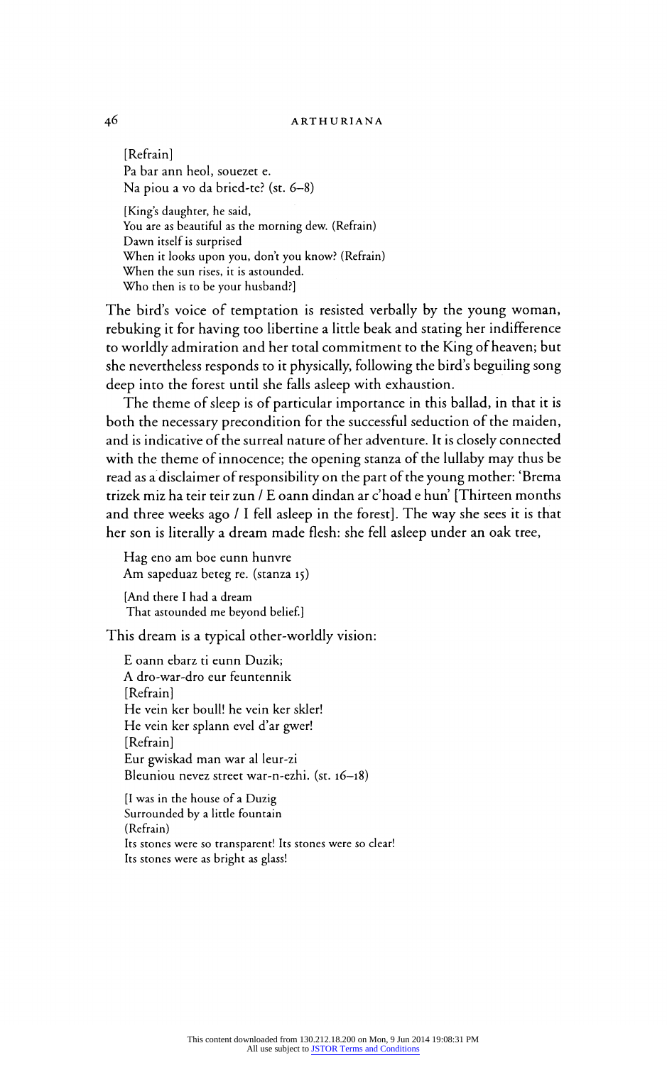## 46 ARTHURIANA

 $\sum_{n=1}^{\infty}$ Pa bar ann heol, souezet e. Na piou a vo da bried-te? (st. 6-8) [King's daughter, he said, You are as beautiful as the morning dew. (Refrain Dawn itself is surprise When it looks upon you, don't you know? (Refrain) When the sun rises, it is astounded.

Who then is to be your husband?]

The bird's voice of temptation is resisted verbally by the young woman, rebuking it for having too libertine a little beak and stating her indifference to worldly admiration and her total commitment to the King of heaven; but she nevertheless responds to it physically, following the bird's beguiling song deep into the forest until she falls asleep with exhaustion.

The theme of sleep is of particular importance in this ballad, in that it is both the necessary precondition for the successful seduction of the maiden, and is indicative of the surreal nature of her adventure. It is closely connected with the theme of innocence; the opening stanza of the lullaby may thus be read as a disclaimer of responsibility on the part of the young mother: 'Brema trizek miz ha teir teir zun / E oann dindan ar c'hoad e hun' [Thirteen months and three weeks ago / I fell asleep in the forest]. The way she sees it is that her son is literally a dream made flesh: she fell asleep under an oak tree,

Hag eno am boe eunn hunvre Am sapeduaz beteg re. (stanza 15) [And there I had a dream

That astounded me beyond belief.]

This dream is a typical other-worldly vision:

E oann ebarz ti eunn Duzik; A dro-war-dro eur feuntennik [Refrain] He vein ker boull! he vein ker skier! He vein ker splann evel d'ar gwer! [Refrain] Eur gwiskad man war al leur-zi Bleuniou nevez street war-n-ezhi. (st. 16-18)

[I was in the house of a Duzig Surrounded by a little fountain (Refrain) Its stones were so transparent! Its stones were so clear! Its stones were as bright as glass!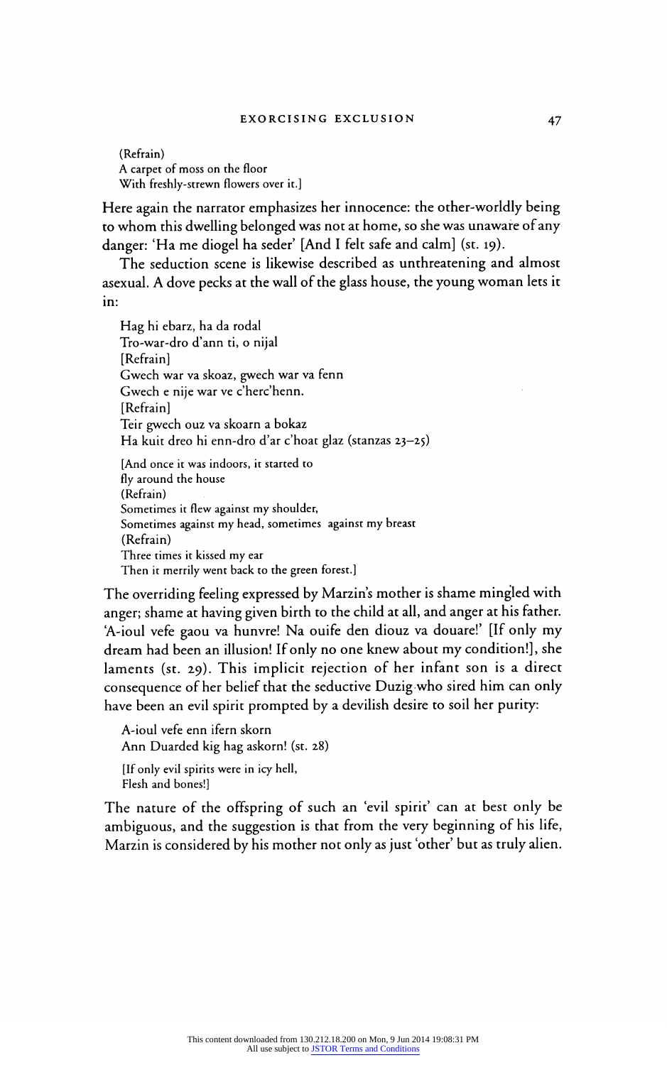$($ Refram) A carpet of moss on the floor With freshly-strewn flowers over it.]

Here again the narrator emphasizes her innocence: the other-worldly being to whom this dwelling belonged was not at home, so she was unaware of any danger: 'Ha me diogel ha seder' [And I felt safe and calm] (st. 19).

The seduction scene is likewise described as unthreatening and almost asexual. A dove pecks at the wall of the glass house, the young woman lets it in:

Hag hi ebarz, ha da rodal Tro-war-dro d'ann ti, o nijal  $\sum_{n=1}^{\infty}$ Gwech war va skoaz, gwech war va fenn Gwech e nije war ve c'herc'henn.<br>[Refrain]  $\Gamma$ Teir gwech ouz va skoarn a bok Ha kuit dreo hi enn-dro d'ar c'hoat glaz (stanzas 23-25)

[And once it was indoors, it started to fly around the house<br>(Refrain)  $(\text{Retrain})$ Sometimes it flew against my shoulder Sometimes against my head, sometimes against my breast  $\frac{(\text{Réman})}{\text{Réan}}$ Three times it kissed my ear Then it merrily went back to the green forest.]

The overriding feeling expressed by Marzin's mother is shame mingled with anger; shame at having given birth to the child at all, and anger at his father. A-ioul vete gaou va hunvre! Na ouife den diouz va douare! [If only my dream had been an illusion! If only no one knew about my condition!], she laments (st. 29). This implicit rejection of her infant son is a direct consequence of her belief that the seductive Duzig who sired him can only have been an evil spirit prompted by a devilish desire to soil her purity:

A-ioul vefe enn ifern skorn Ann Duarded kig hag askorn! (st. 28) [If only evil spirits were in icy hell, Flesh and bones!]

The nature of the offspring of such an 'evil spirit' can at best only be ambiguous, and the suggestion is that from the very beginning of his life, Marzin is considered by his mother not only as just 'other' but as truly alien.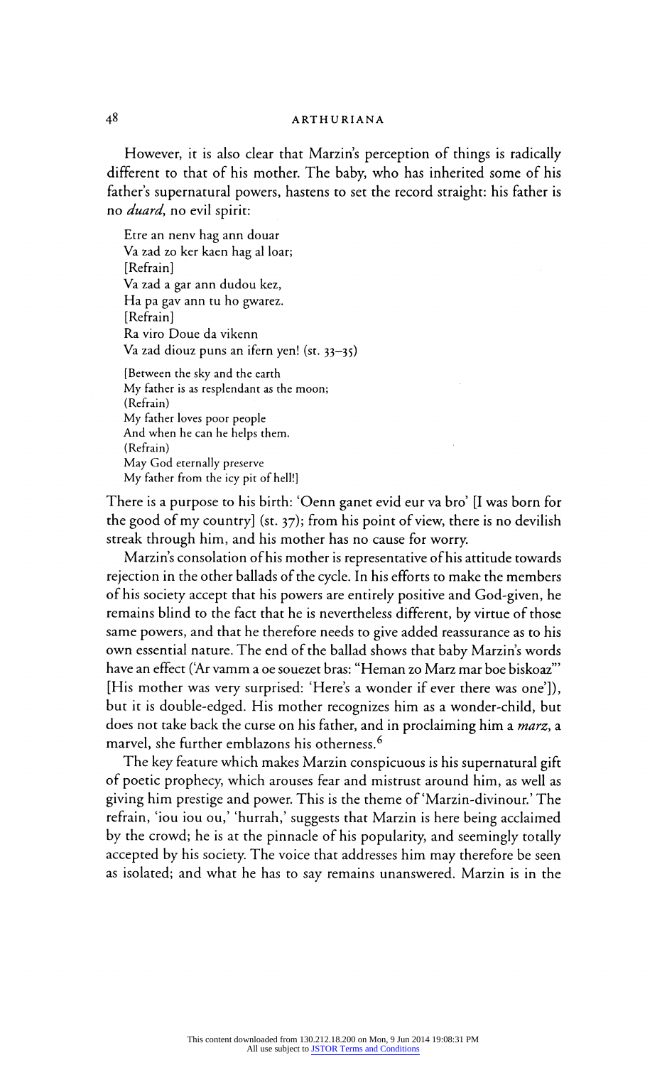# 4<sup>9</sup> ARIHUR

However, it is also clear that Marzin's perception of things is radically different to that of his mother. The baby, who has inherited some of his father's supernatural powers, hastens to set the record straight: his father is no duard, no evil spirit:

Etre an nenv hag ann douar Va zad zo ker kaen hag al loar; [Refrain] va zad a gar ann dudou ke.  $\circ$ Ha pa gav ann tu ho gwarez.  $\mathbb{R}$ <sup>[Refram]</sup> Ra viro Doue da vikenn Va zad diouz puns an ifern yen! (st. 33-35) [Between the sky and the earth

My father is as resplendant as the moon; (Refrain)<br>My father loves poor people My father loves poor people And when he can he helps them.  $\sum_{n=1}^{\infty}$ May God eternally preserve My father from the icy pit of hell!]

There is a purpose to his birth: 'Oenn ganet evid eur va bro' [I was born for the good of my country] (st. 37); from his point of view, there is no devilish streak through him, and his mother has no cause for worry.

Marzin's consolation of his mother is representative of his attitude towards rejection in the other ballads of the cycle. In his efforts to make the members of his society accept that his powers are entirely positive and God-given, he remains blind to the fact that he is nevertheless different, by virtue of those same powers, and that he therefore needs to give added reassurance as to his own essential nature. The end of the ballad shows that baby Marzin's words have an effect (?Ar vamm a oe souezet bras: "Heman zo Marz mar boe biskoaz'" [His mother was very surprised: 'Here's a wonder if ever there was one']), but it is double-edged. His mother recognizes him as a wonder-child, but does not take back the curse on his father, and in proclaiming him a *marz*, a marvel, she further emblazons his otherness.<sup>6</sup>

The key feature which makes Marzin conspicuous is his supernatural gift of poetic prophecy, which arouses fear and mistrust around him, as well as giving him prestige and power. This is the theme of'Marzin-divinour.' The refrain, 'iou iou ou,' 'hurrah,' suggests that Marzin is here being acclaimed by the crowd; he is at the pinnacle of his popularity, and seemingly totally accepted by his society. The voice that addresses him may therefore be seen as isolated; and what he has to say remains unanswered. Marzin is in the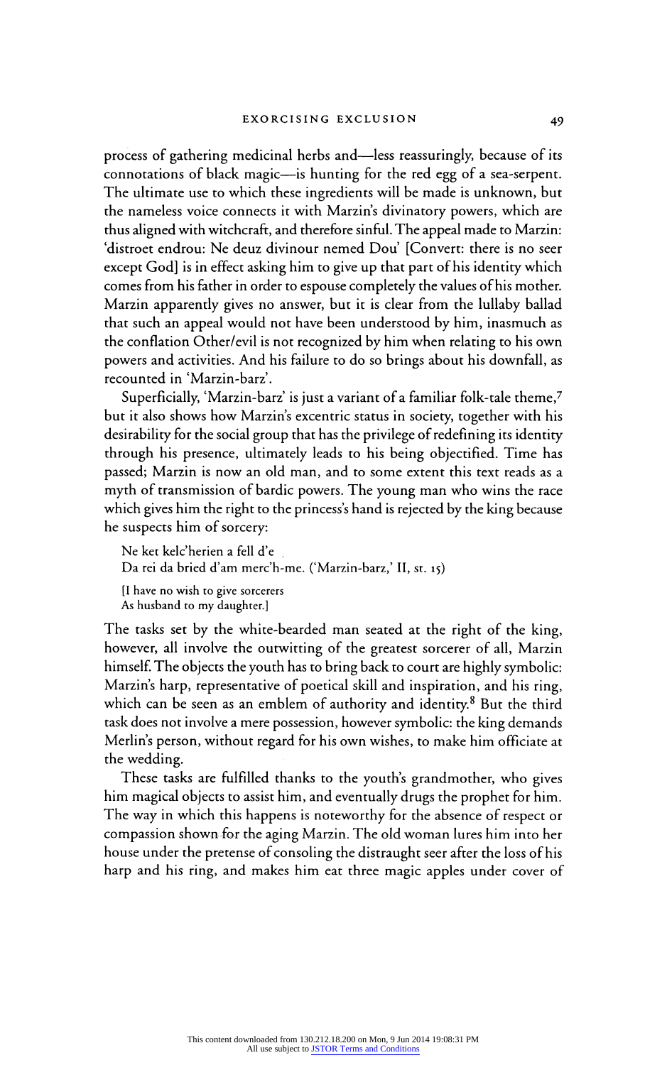process of gathering medicinal herbs and—less reassuringly, because of its connotations of black magic-is hunting for the red egg of a sea-serpent. The ultimate use to which these ingredients will be made is unknown, but the nameless voice connects it with Marzin's divinatory powers, which are thus aligned with witchcraft, and therefore sinful. The appeal made to Marzin: 'distroet endrou: Ne deuz divinour nemed Dou' [Convert: there is no seer except God] is in effect asking him to give up that part of his identity which comes from his father in order to espouse completely the values of his mother. Marzin apparently gives no answer, but it is clear from the lullaby ballad that such an appeal would not have been understood by him, inasmuch as the conflation Other/evil is not recognized by him when relating to his own powers and activities. And his failure to do so brings about his downfall, as recounted in 'Marzin-barz'.

Superficially, 'Marzin-barz' is just a variant of a familiar folk-tale theme,7 but it also shows how Marzin's excentric status in society, together with his desirability for the social group that has the privilege of redefining its identity through his presence, ultimately leads to his being objectified. Time has passed; Marzin is now an old man, and to some extent this text reads as a myth of transmission of bardic powers. The young man who wins the race which gives him the right to the princess's hand is rejected by the king because he suspects him of sorcery:

Ne ket kelc'herien a fell d'e Da rei da bried d'am merc'h-me. ('Marzin-barz,' II, st. 15) [I have no wish to give sorcerers As husband to my daughter.]

The tasks set by the white-bearded man seated at the right of the king, however, all involve the outwitting of the greatest sorcerer of all, Marzin himself. The objects the youth has to bring back to court are highly symbolic: Marzin's harp, representative of poetical skill and inspiration, and his ring, which can be seen as an emblem of authority and identity. $8$  But the third task does not involve a mere possession, however symbolic: the king demands Merlin's person, without regard for his own wishes, to make him officiate at the wedding.

These tasks are fulfilled thanks to the youth's grandmother, who gives him magical objects to assist him, and eventually drugs the prophet for him. The way in which this happens is noteworthy for the absence of respect or compassion shown for the aging Marzin. The old woman lures him into her house under the pretense of consoling the distraught seer after the loss of his harp and his ring, and makes him eat three magic apples under cover of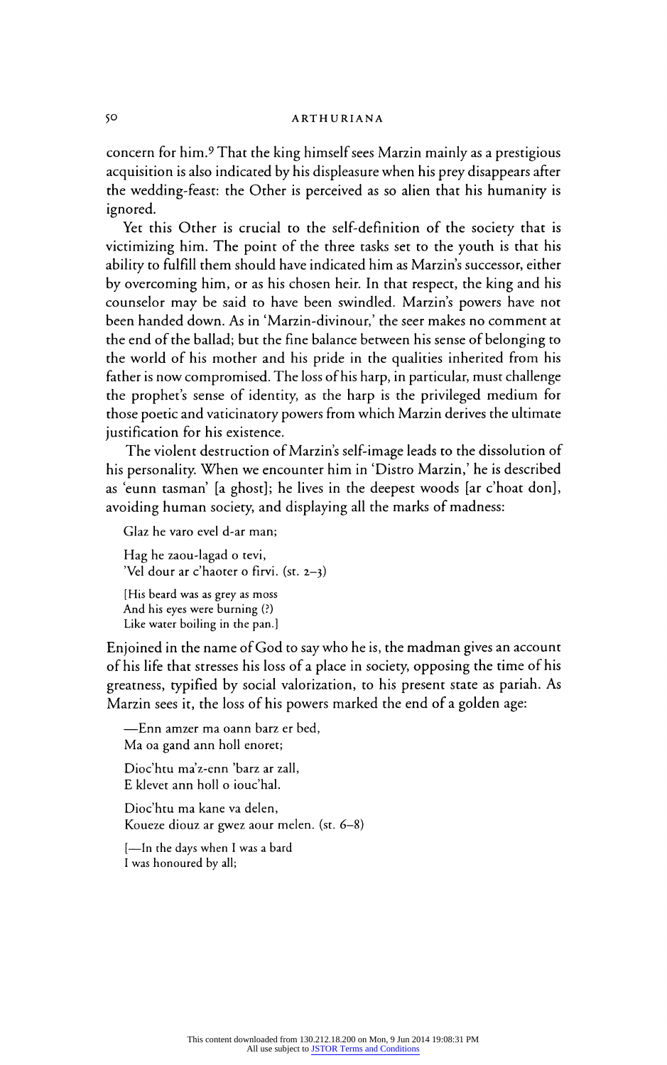# $\overline{\text{A}}$ KIHUK

concern for him.9 That the king himself sees Marzin mainly as a prestigious acquisition is also indicated by his displeasure when his prey disappears after the wedding-feast: the Other is perceived as so alien that his humanity is  $\overline{\mathbf{v}}$ 

Yet this Other is crucial to the self-definition of the society that is victimizing him. The point of the three tasks set to the youth is that his ability to fulfill them should have indicated him as Marzin's successor, either by overcoming him, or as his chosen heir. In that respect, the king and his counselor may be said to have been swindled. Marzin's powers have not been handed down. As in 'Marzin-divinour,' the seer makes no comment at the end of the ballad; but the fine balance between his sense of belonging to the world of his mother and his pride in the qualities inherited from his father is now compromised. The loss of his harp, in particular, must challenge the prophet's sense of identity, as the harp is the privileged medium for those poetic and vaticinatory powers from which Marzin derives the ultimate justification for his existence.

The violent destruction of Marzin's self-image leads to the dissolution of his personality. When we encounter him in 'Distro Marzin,' he is described as 'eunn tasman' [a ghost]; he lives in the deepest woods [ar c'hoat don], avoiding human society, and displaying all the marks of madness:

Glaz he varo evel d-ar man;

Hag he zaou-lagad o tevi, 'Vel dour ar c'haoter o firvi. (st. 2-3)

[His beard was as grey as mos And his eyes were burning (?) Like water boiling in the pan.]

Enjoined in the name of God to say who he is, the madman gives an account of his life that stresses his loss of a place in society, opposing the time of his greatness, typified by social valorization, to his present state as pariah. As Marzin sees it, the loss of his powers marked the end of a golden age:

?Enn amzer ma oann barz er bed, Ma oa gand ann holl enoret;

Dioc'htu ma'z-enn 'barz ar zall, E klevet ann holl o iouc'hal.

Dioc'htu ma kane va delen, Koueze diouz ar gwez aour meien. (st. 6–

[-In the days when I was a bard I was honoured by all;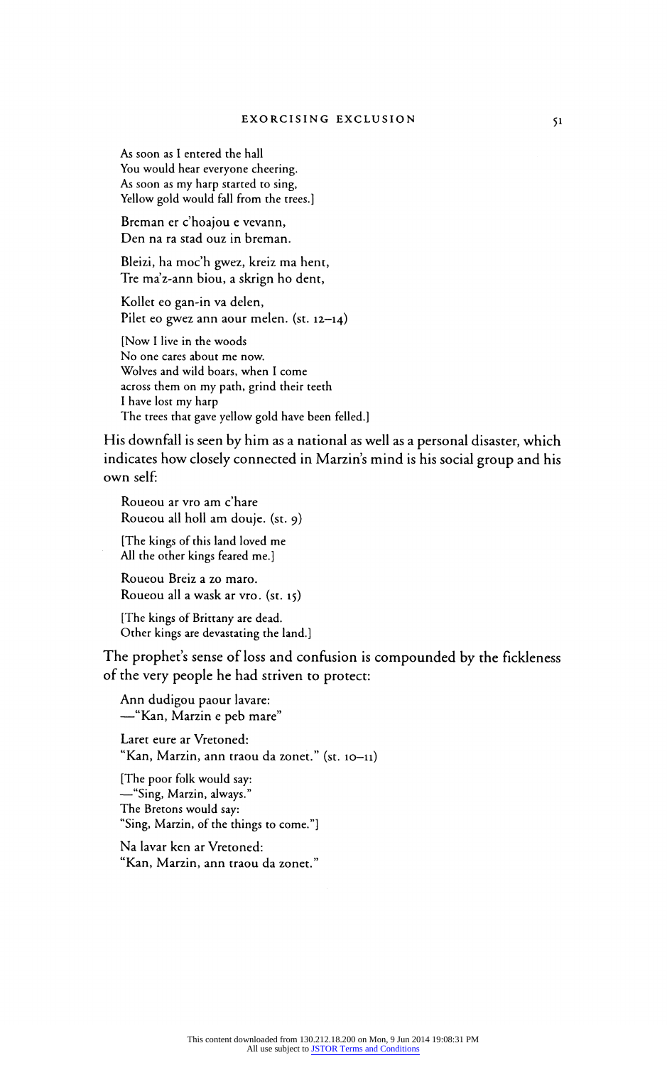As soon as I entered the hall You would hear everyone cheering.<br>As soon as my harp started to sing, As soon as my harp started to sing Yellow gold would fall from the trees.]

Breman er c'hoajou e vevann, Den na ra stad ouz in breman.

Bleizi, ha moc'h gwez, kreiz ma hent, Tre ma'z-ann biou, a skrign ho dent,

Kollet eo gan-in va delen, Pilet eo gwez ann aour melen. (st. 12-14)

[Now I live in the woods No one cares about me now. Wolves and wild boars, when I come across them on my path, grind their teeth I have lost my harp The trees that gave yellow gold have been felled.]

His downfall is seen by him as a national as well as a personal disaster, which indicates how closely connected in Marzin's mind is his social group and his own self:

Roueou ar vro am c'hare Roueou all holl am douje. (st. 9)

[The kings of this land loved me All the other kings feared me.]

Roueou Breiz a zo maro. Roueou all a wask ar vro. (st. 15)

[The kings of Brittany are dead. Other kings are devastating the land.]

The prophet's sense of loss and confusion is compounded by the fickleness of the very people he had striven to protect:

Ann dudigou paour lavare: -"Kan, Marzin e peb mare"

Laret eure ar Vretoned: "Kan, Marzin, ann traou da zonet." (st. 10-11)

[The poor folk would say: <sup>"</sup>Sing, Marzin, always. The Bretons would say: "Sing, Marzin, of the things to come."]

Na lavar ken ar Vretoned: "Kan, Marzin, ann traou da zonet."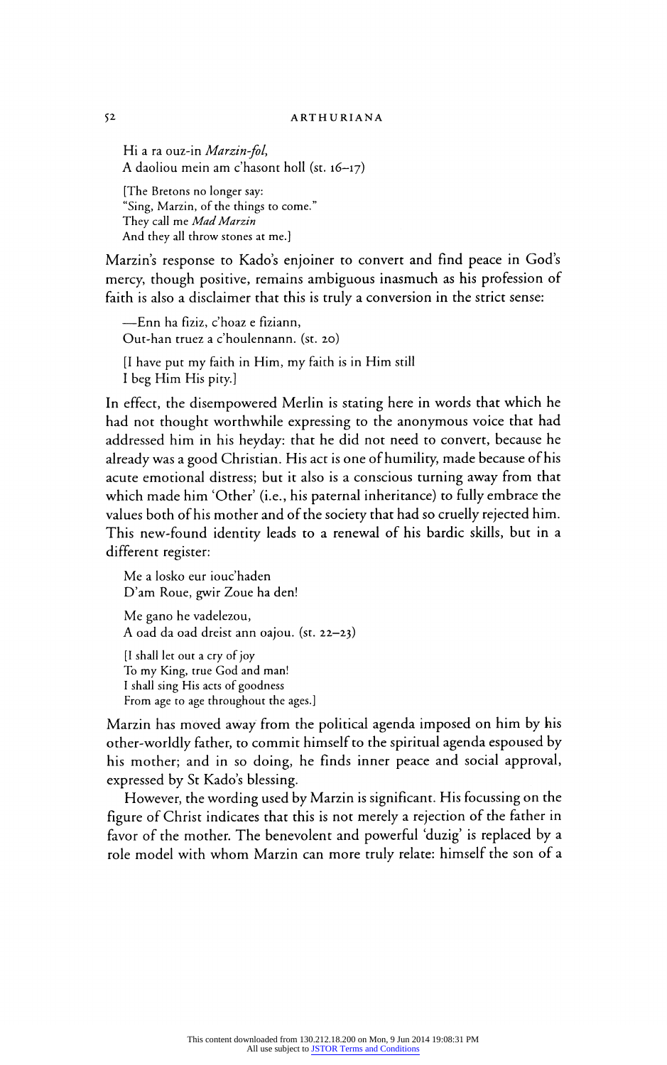Hi a ra ouz-in Marzin-fol, A daoliou mein am c'hasont holl (st. 16-17)

[The Bretons no longer say:<br>"Sing, Marzin, of the things to come." Sing, Marzin, of the things to come. They call me *Mad Mar* And they all throw stones at me.]

Marzin's response to Kado's enjoiner to convert and find peace in God mercy, though positive, remains ambiguous inasmuch as his profession of faith is also a disclaimer that this is truly a conversion in the strict sense:

?Enn ha fiziz, c'hoaz e fiziann, Out-han truez a c'houlennann. (st. 20) [I have put my faith in Him, my faith is in Him still I beg Him His pity.]

In effect, the disempowered Merlin is stating here in words that which he had not thought worthwhile expressing to the anonymous voice that had addressed him in his heyday: that he did not need to convert, because he already was a good Christian. His act is one of humility, made because of his acute emotional distress; but it also is a conscious turning away from that which made him 'Other' (i.e., his paternal inheritance) to fully embrace the values both of his mother and of the society that had so cruelly rejected him. This new-found identity leads to a renewal of his bardic skills, but in a different register:

Me a losko eur iouc'haden D'am Roue, gwir Zoue ha den! Me gano he vadelezou, A oad da oad dreist ann oajou. (st. 22-23) [I shall let out a cry of joy To my King, true God and man!

I shall sing His acts of goodness From age to age throughout the ages.]

Marzin has moved away from the political agenda imposed on him by his other-worldly father, to commit himself to the spiritual agenda espoused by his mother; and in so doing, he finds inner peace and social approval, expressed by St Kado's blessing.

However, the wording used by Marzin is significant. His focussing on the figure of Christ indicates that this is not merely a rejection of the father in favor of the mother. The benevolent and powerful 'duzig' is replaced by <sup>a</sup> role model with whom Marzin can more truly relate: himself the son of a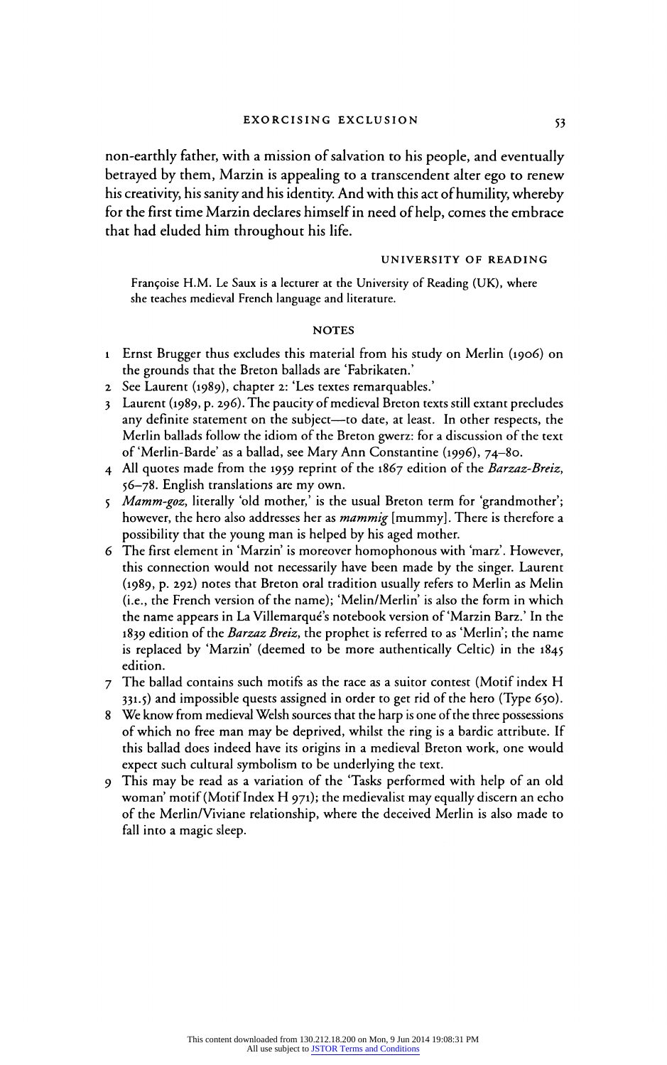non-earthly father, with a mission of salvation to his people, and eventually betrayed by them, Marzin is appealing to a transcendent alter ego to renew his creativity, his sanity and his identity. And with this act of humility, whereby for the first time Marzin declares himself in need of help, comes the embrace that had eluded him throughout his life.

## UNIVERSITY OF READING

Françoise H.M. Le Saux is a lecturer at the University of Reading (UK), where she teaches medieval French language and literature.

#### **NOTES**

- 1 Ernst Brugger thus excludes this material from his study on Merlin (1906) on the grounds that the Breton ballads are 'Fabrikaten.'
- 2 See Laurent (1989), chapter 2: 'Les textes remarquables.'
- 3 Laurent (1989, p. 296). The paucity of medieval Breton texts still extant precludes any definite statement on the subject-to date, at least. In other respects, the Merlin ballads follow the idiom of the Breton gwerz: for a discussion of the text of'Merlin-Barde' as a ballad, see Mary Ann Constantine (1996), 74-80.
- 4 All quotes made from the 1959 reprint of the 1867 edition of the Barzaz-Breiz, 56<sup>-7</sup>78. English translations are my own
- 5 Mamm-goz, literally 'old mother,' is the usual Breton term for 'grandmother'; however, the hero also addresses her as *mammig* [mummy]. There is therefore a possibility that the young man is helped by his aged mother.
- 6 The first element in 'Marzin' is moreover homophonous with 'marz'. However, this connection would not necessarily have been made by the singer. Laurent (1989, p. 292) notes that Breton oral tradition usually refers to Merlin as Melin (i.e., the French version of the name); 'Melin/Merlin' is also the form in which the name appears in La Villemarque's notebook version of Marzin Barz.' In the 1839 edition of the Barzaz Breiz, the prophet is referred to as 'Merlin'; the name is replaced by 'Marzin' (deemed to be more authentically Celtic) in the 1845 edition.
- 7 The ballad contains such motifs as the race as a suitor contest (Motif index H 331.5) and impossible quests assigned in order to get rid of the hero (Type 650).
- 8 We know from medieval Welsh sources that the harp is one of the three possessions of which no free man may be deprived, whilst the ring is a bardic attribute. If this ballad does indeed have its origins in a medieval Breton work, one would expect such cultural symbolism to be underlying the text.
- 9 This may be read as a variation of the 'Tasks performed with help of an old woman' motif (Motif Index H 971); the medievalist may equally discern an echo of the Merlin/Viviane relationship, where the deceived Merlin is also made to fall into a magic sleep.